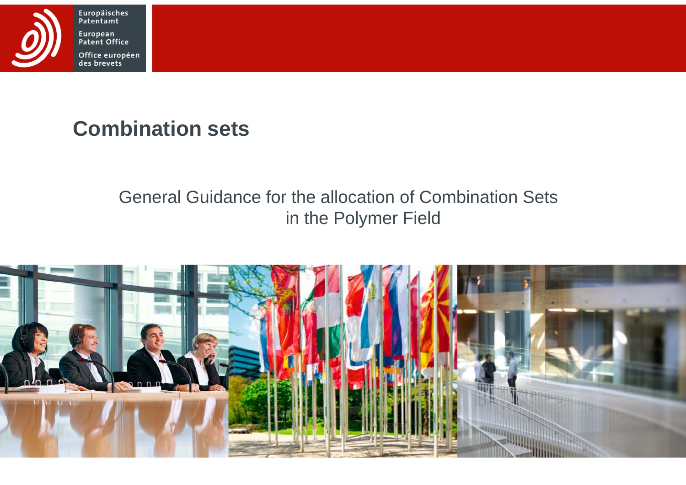

Europäisches<br>Patentamt European Patent Office Office européen<br>des brevets

# **Combination sets**

### General Guidance for the allocation of Combination Sets in the Polymer Field

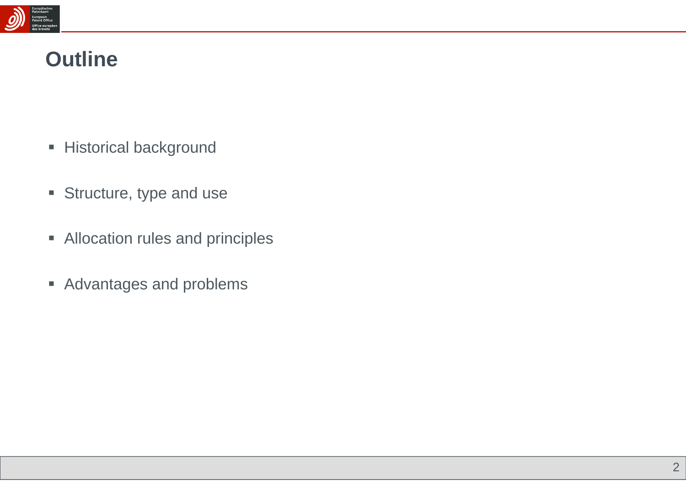

### **Outline**

- **Historical background**
- **Structure, type and use**
- **EXTEND 4 THEORY Allocation rules and principles**
- **Advantages and problems**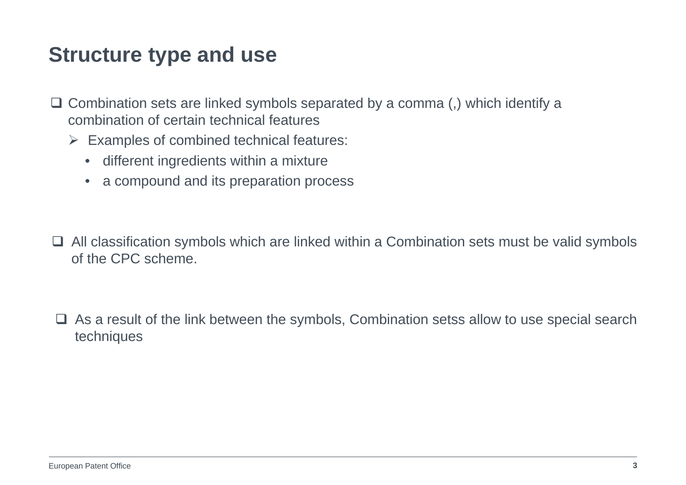- $\Box$  Combination sets are linked symbols separated by a comma (,) which identify a combination of certain technical features
	- $\triangleright$  Examples of combined technical features:
		- different ingredients within a mixture
		- a compound and its preparation process
- $\Box$  All classification symbols which are linked within a Combination sets must be valid symbols of the CPC scheme.
- $\Box$  As a result of the link between the symbols, Combination setss allow to use special search techniques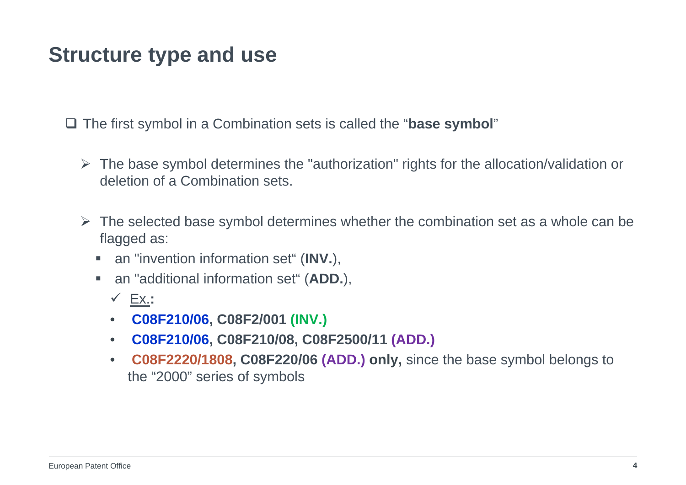The first symbol in a Combination sets is called the "**base symbol**"

- $\triangleright$  The base symbol determines the "authorization" rights for the allocation/validation or deletion of a Combination sets.
- $\triangleright$  The selected base symbol determines whether the combination set as a whole can be flagged as:
	- ш an "invention information set" (**INV.**),
	- ш an "additional information set" (**ADD.**),
		- Ex.**:**
		- $\bullet$ **C08F210/06, C08F2/001 (INV.)**
		- $\bullet$ **C08F210/06, C08F210/08, C08F2500/11 (ADD.)**
		- $\bullet$  **C08F2220/1808, C08F220/06 (ADD.) only,** since the base symbol belongs to the "2000" series of symbols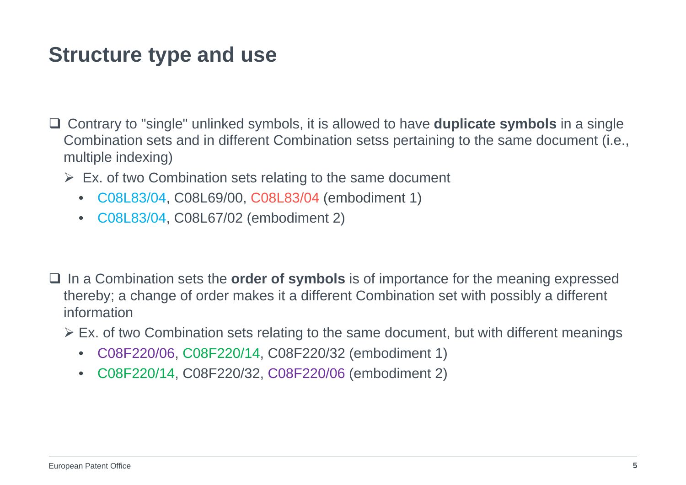- Contrary to "single" unlinked symbols, it is allowed to have **duplicate symbols** in a single Combination sets and in different Combination setss pertaining to the same document (i.e., multiple indexing)
	- $\triangleright$  Ex. of two Combination sets relating to the same document
		- C08L83/04, C08L69/00, C08L83/04 (embodiment 1)
		- C08L83/04, C08L67/02 (embodiment 2)
- □ In a Combination sets the **order of symbols** is of importance for the meaning expressed thereby; a change of order makes it a different Combination set with possibly a different information
	- Ex. of two Combination sets relating to the same document, but with different meanings
		- •C08F220/06, C08F220/14, C08F220/32 (embodiment 1)
		- $\bullet$ C08F220/14, C08F220/32, C08F220/06 (embodiment 2)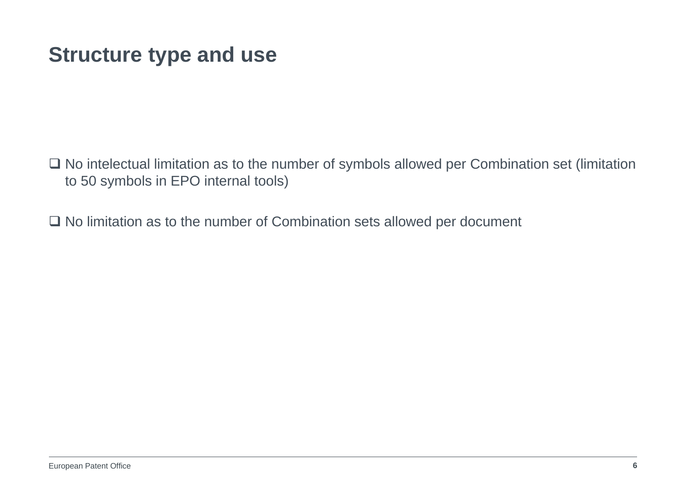$\Box$  No intelectual limitation as to the number of symbols allowed per Combination set (limitation to 50 symbols in EPO internal tools)

 $\Box$  No limitation as to the number of Combination sets allowed per document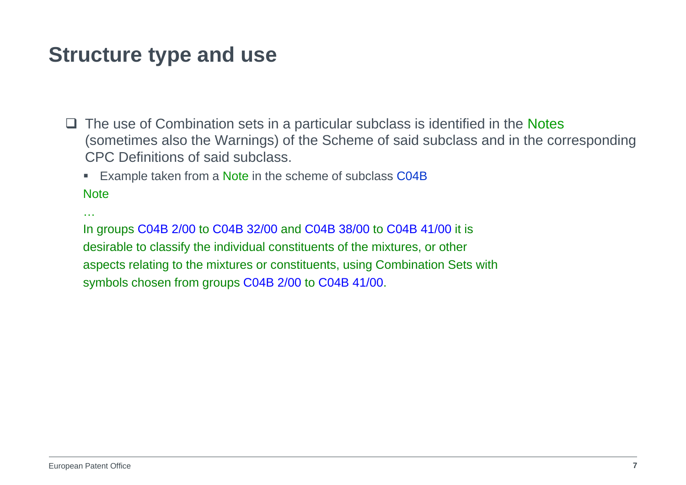$\Box$  The use of Combination sets in a particular subclass is identified in the Notes (sometimes also the Warnings) of the Scheme of said subclass and in the corresponding CPC Definitions of said subclass.

**Example taken from a Note in the scheme of subclass C04B** 

**Note** 

…

In groups C04B 2/00 to C04B 32/00 and C04B 38/00 to C04B 41/00 it is desirable to classify the individual constituents of the mixtures, or other aspects relating to the mixtures or constituents, using Combination Sets with symbols chosen from groups C04B 2/00 to C04B 41/00.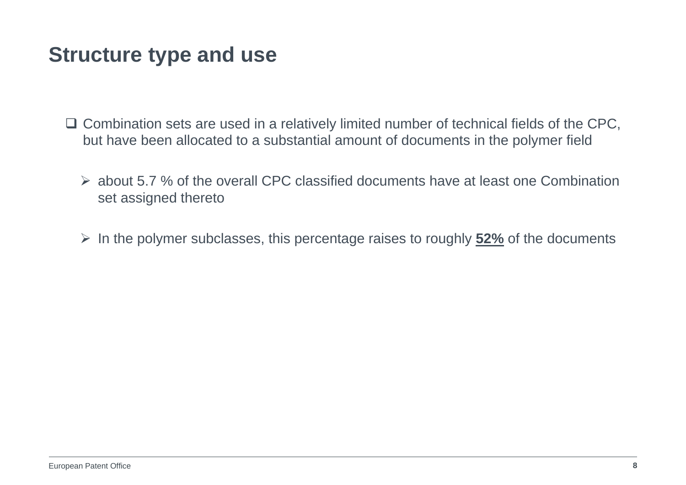- $\Box$  Combination sets are used in a relatively limited number of technical fields of the CPC, but have been allocated to a substantial amount of documents in the polymer field
	- about 5.7 % of the overall CPC classified documents have at least one Combination set assigned thereto
	- In the polymer subclasses, this percentage raises to roughly **52%** of the documents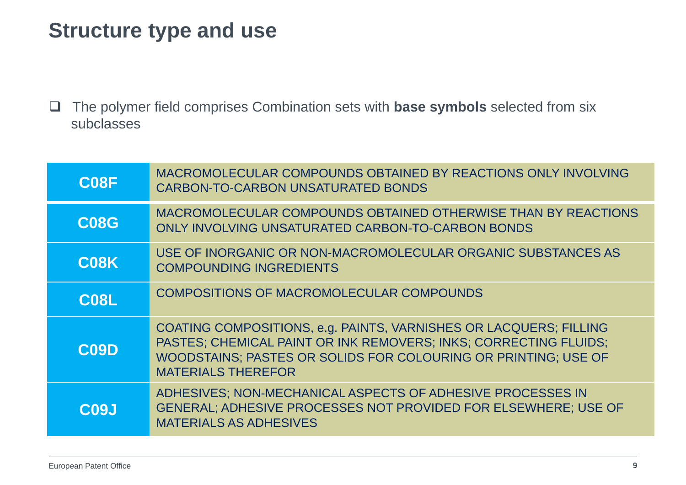$\Box$  The polymer field comprises Combination sets with **base symbols** selected from six subclasses

| C <sub>08</sub> F | MACROMOLECULAR COMPOUNDS OBTAINED BY REACTIONS ONLY INVOLVING<br><b>CARBON-TO-CARBON UNSATURATED BONDS</b>                                                                                                                           |
|-------------------|--------------------------------------------------------------------------------------------------------------------------------------------------------------------------------------------------------------------------------------|
| <b>C08G</b>       | MACROMOLECULAR COMPOUNDS OBTAINED OTHERWISE THAN BY REACTIONS<br>ONLY INVOLVING UNSATURATED CARBON-TO-CARBON BONDS                                                                                                                   |
| C <sub>08</sub> K | USE OF INORGANIC OR NON-MACROMOLECULAR ORGANIC SUBSTANCES AS<br><b>COMPOUNDING INGREDIENTS</b>                                                                                                                                       |
| <b>C08L</b>       | COMPOSITIONS OF MACROMOLECULAR COMPOUNDS                                                                                                                                                                                             |
| $\overline{C}09D$ | COATING COMPOSITIONS, e.g. PAINTS, VARNISHES OR LACQUERS; FILLING<br>PASTES; CHEMICAL PAINT OR INK REMOVERS; INKS; CORRECTING FLUIDS;<br>WOODSTAINS; PASTES OR SOLIDS FOR COLOURING OR PRINTING; USE OF<br><b>MATERIALS THEREFOR</b> |
| C <sub>09</sub> J | ADHESIVES; NON-MECHANICAL ASPECTS OF ADHESIVE PROCESSES IN<br>GENERAL; ADHESIVE PROCESSES NOT PROVIDED FOR ELSEWHERE; USE OF<br><b>MATERIALS AS ADHESIVES</b>                                                                        |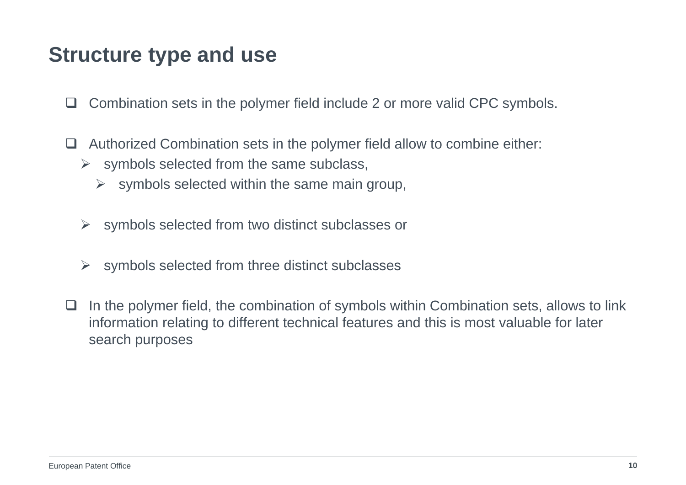- $\Box$ Combination sets in the polymer field include 2 or more valid CPC symbols.
- $\Box$  Authorized Combination sets in the polymer field allow to combine either:
	- $\triangleright$  symbols selected from the same subclass,
		- $\blacktriangleright$ symbols selected within the same main group,
	- $\triangleright$  symbols selected from two distinct subclasses or
	- $\blacktriangleright$ symbols selected from three distinct subclasses
- $\Box$ In the polymer field, the combination of symbols within Combination sets, allows to link information relating to different technical features and this is most valuable for later search purposes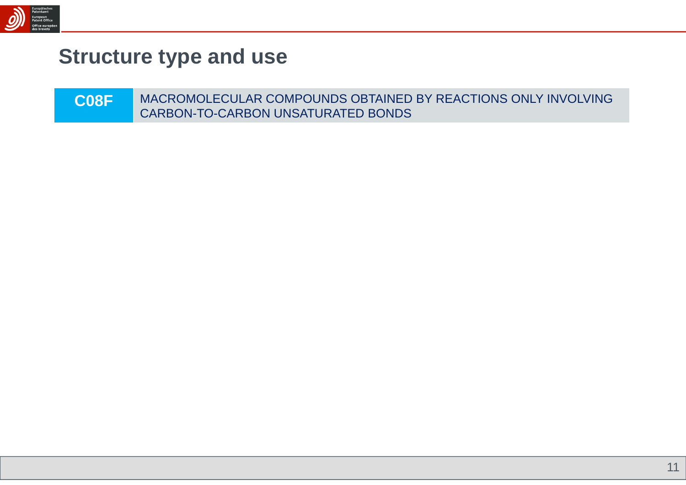

| C <sub>08</sub> F | MACROMOLECULAR COMPOUNDS OBTAINED BY REACTIONS ONLY INVOLVING |
|-------------------|---------------------------------------------------------------|
|                   | CARBON-TO-CARBON UNSATURATED BONDS                            |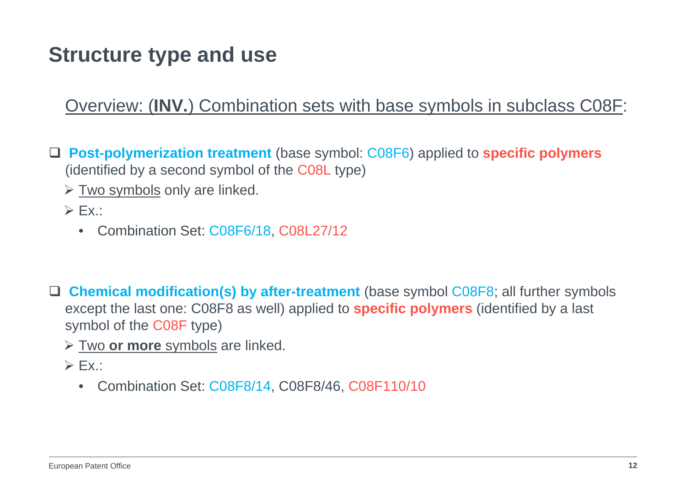#### Overview: (**INV.**) Combination sets with base symbols in subclass C08F:

- **Post-polymerization treatment** (base symbol: C08F6) applied to **specific polymers** (identified by a second symbol of the C08L type)
	- $\triangleright$  Two symbols only are linked.
	- $\triangleright$  Ex.:
		- $\bullet$ Combination Set: C08F6/18, C08L27/12
- **Chemical modification(s) by after-treatment** (base symbol C08F8; all further symbols except the last one: C08F8 as well) applied to **specific polymers** (identified by a last symbol of the C08F type)
	- Two **or more** symbols are linked.
	- $\triangleright$  Ex.:
		- $\bullet$ Combination Set: C08F8/14, C08F8/46, C08F110/10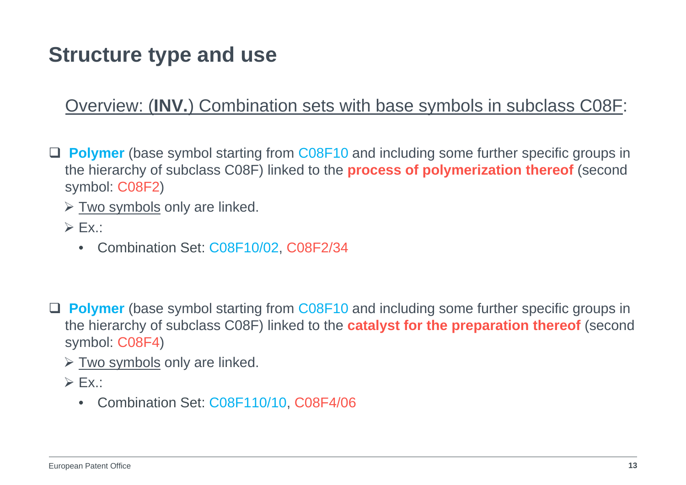#### Overview: (**INV.**) Combination sets with base symbols in subclass C08F:

- **Polymer** (base symbol starting from C08F10 and including some further specific groups in the hierarchy of subclass C08F) linked to the **process of polymerization thereof** (second symbol: C08F2)
	- $\triangleright$  Two symbols only are linked.
	- $\triangleright$  Ex.:
		- Combination Set: C08F10/02, C08F2/34
- **Polymer** (base symbol starting from C08F10 and including some further specific groups in the hierarchy of subclass C08F) linked to the **catalyst for the preparation thereof** (second symbol: C08F4)
	- $\triangleright$  Two symbols only are linked.
	- $\triangleright$  Ex.:
		- •Combination Set: C08F110/10, C08F4/06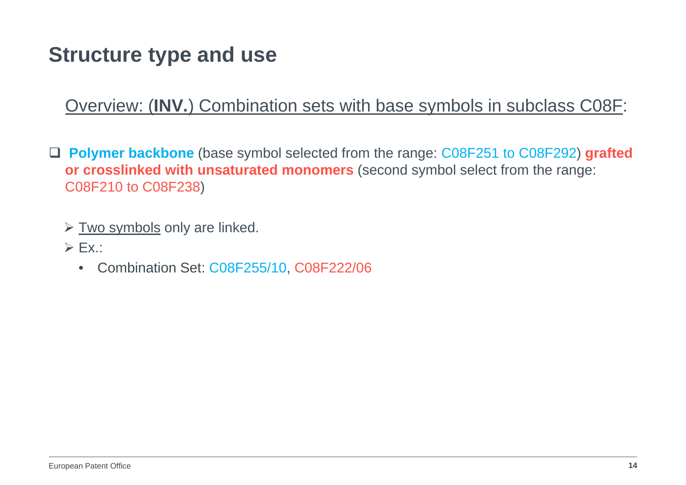Overview: (**INV.**) Combination sets with base symbols in subclass C08F:

- **Polymer backbone** (base symbol selected from the range: C08F251 to C08F292) **grafted or crosslinked with unsaturated monomers** (second symbol select from the range: C08F210 to C08F238)
	- $\triangleright$  Two symbols only are linked.
	- $\triangleright$  Ex.:
		- •Combination Set: C08F255/10, C08F222/06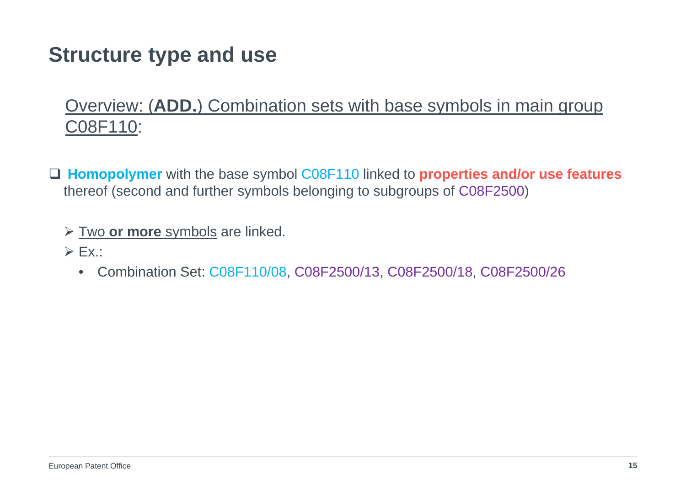#### Overview: (**ADD.**) Combination sets with base symbols in main group C08F110:

- **Homopolymer** with the base symbol C08F110 linked to **properties and/or use features** thereof (second and further symbols belonging to subgroups of C08F2500)
	- Two **or more** symbols are linked.
	- $\triangleright$  Ex.:
		- •Combination Set: C08F110/08, C08F2500/13, C08F2500/18, C08F2500/26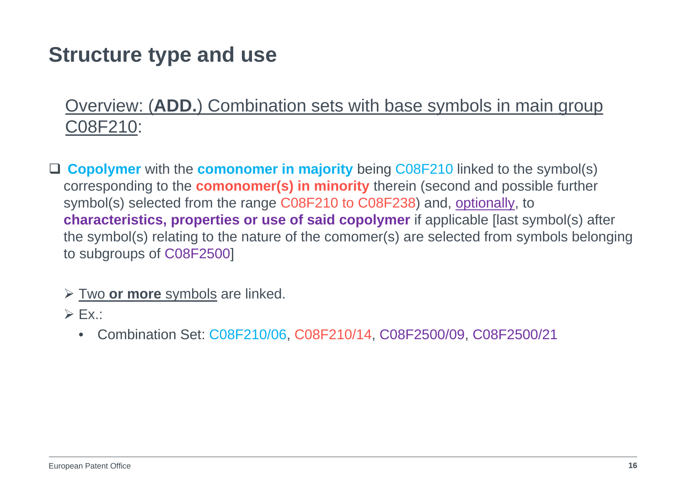#### Overview: (**ADD.**) Combination sets with base symbols in main group C08F210:

- **Copolymer** with the **comonomer in majority** being C08F210 linked to the symbol(s) corresponding to the **comonomer(s) in minority** therein (second and possible further symbol(s) selected from the range C08F210 to C08F238) and, optionally, to **characteristics, properties or use of said copolymer** if applicable [last symbol(s) after the symbol(s) relating to the nature of the comomer(s) are selected from symbols belonging to subgroups of C08F2500]
	- Two **or more** symbols are linked.
	- $\triangleright$  Ex.:
		- $\bullet$ Combination Set: C08F210/06, C08F210/14, C08F2500/09, C08F2500/21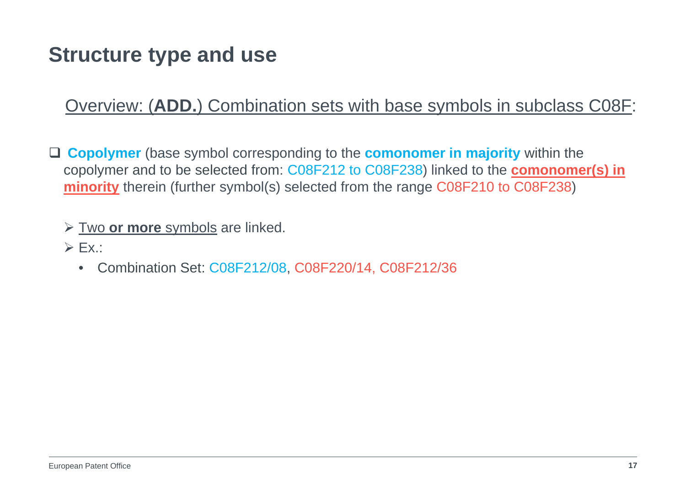#### Overview: (**ADD.**) Combination sets with base symbols in subclass C08F:

 **Copolymer** (base symbol corresponding to the **comonomer in majority** within the copolymer and to be selected from: C08F212 to C08F238) linked to the **comonomer(s) in minority** therein (further symbol(s) selected from the range C08F210 to C08F238)

- Two **or more** symbols are linked.
- $\triangleright$  Ex.:
	- $\bullet$ Combination Set: C08F212/08, C08F220/14, C08F212/36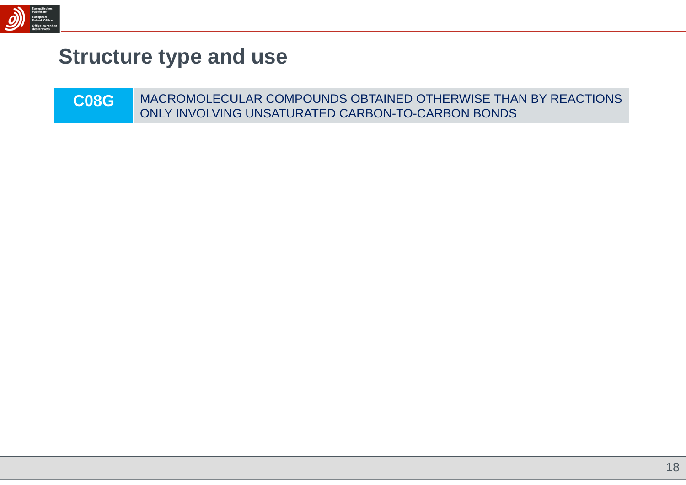

| <b>C08G</b> | MACROMOLECULAR COMPOUNDS OBTAINED OTHERWISE THAN BY REACTIONS |
|-------------|---------------------------------------------------------------|
|             | ONLY INVOLVING UNSATURATED CARBON-TO-CARBON BONDS             |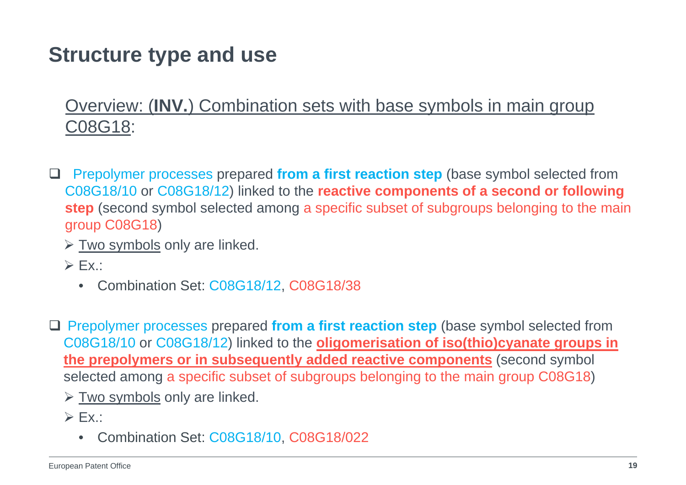#### Overview: (**INV.**) Combination sets with base symbols in main group C08G18:

- $\Box$  Prepolymer processes prepared **from a first reaction step** (base symbol selected from C08G18/10 or C08G18/12) linked to the **reactive components of a second or following step** (second symbol selected among a specific subset of subgroups belonging to the main group C08G18)
	- $\triangleright$  Two symbols only are linked.
	- $\triangleright$  Ex.:
		- Combination Set: C08G18/12, C08G18/38
- □ Prepolymer processes prepared from a first reaction step (base symbol selected from C08G18/10 or C08G18/12) linked to the **oligomerisation of iso(thio)cyanate groups in the prepolymers or in subsequently added reactive components** (second symbol selected among a specific subset of subgroups belonging to the main group C08G18)
	- $\triangleright$  Two symbols only are linked.
	- $\triangleright$  Ex.:
		- $\bullet$ Combination Set: C08G18/10, C08G18/022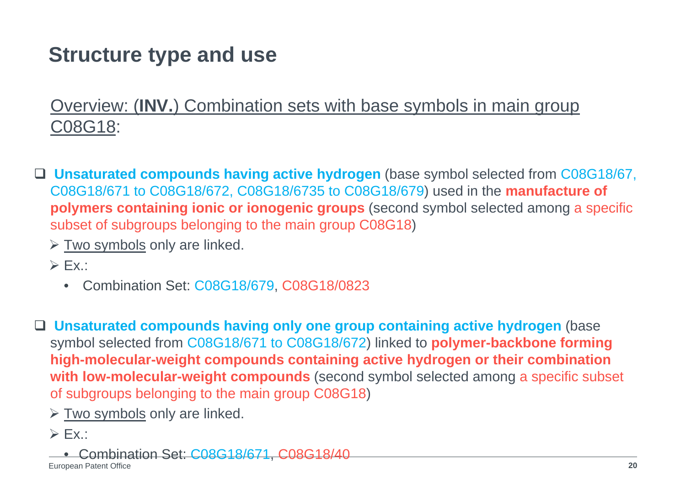Overview: (**INV.**) Combination sets with base symbols in main group C08G18:

- **Unsaturated compounds having active hydrogen** (base symbol selected from C08G18/67, C08G18/671 to C08G18/672, C08G18/6735 to C08G18/679) used in the **manufacture of polymers containing ionic or ionogenic groups** (second symbol selected among a specific subset of subgroups belonging to the main group C08G18)
	- $\triangleright$  Two symbols only are linked.
	- $\triangleright$  Ex.:
		- Combination Set: C08G18/679, C08G18/0823

 $\Box$  **Unsaturated compounds having only one group containing active hydrogen** (base symbol selected from C08G18/671 to C08G18/672) linked to **polymer-backbone forming high-molecular-weight compounds containing active hydrogen or their combination with low-molecular-weight compounds** (second symbol selected among a specific subset of subgroups belonging to the main group C08G18)

- $\triangleright$  Two symbols only are linked.
- $\triangleright$  Ex.:
	- •Combination Set: C08G18/671, C08G18/40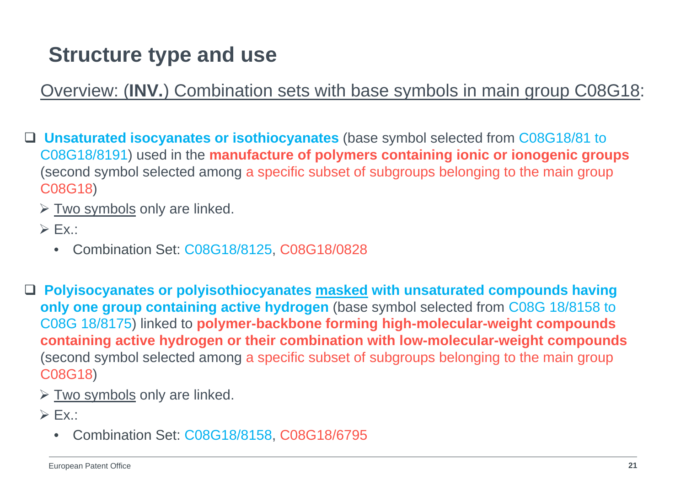Overview: (**INV.**) Combination sets with base symbols in main group C08G18:

 **Unsaturated isocyanates or isothiocyanates** (base symbol selected from C08G18/81 to C08G18/8191) used in the **manufacture of polymers containing ionic or ionogenic groups** (second symbol selected among a specific subset of subgroups belonging to the main group C08G18)

 $\triangleright$  Two symbols only are linked.

- $\triangleright$  Ex.:
	- •Combination Set: C08G18/8125, C08G18/0828

 **Polyisocyanates or polyisothiocyanates masked with unsaturated compounds having only one group containing active hydrogen** (base symbol selected from C08G 18/8158 to C08G 18/8175) linked to **polymer-backbone forming high-molecular-weight compounds containing active hydrogen or their combination with low-molecular-weight compounds** (second symbol selected among a specific subset of subgroups belonging to the main group C08G18)

 $\triangleright$  Two symbols only are linked.

 $\triangleright$  Ex.:

 $\bullet$ Combination Set: C08G18/8158, C08G18/6795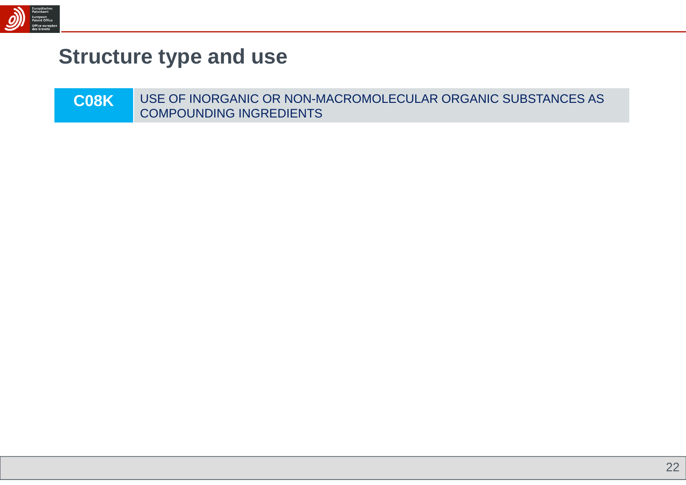

| <b>COSKI</b> | USE OF INORGANIC OR NON-MACROMOLECULAR ORGANIC SUBSTANCES AS |
|--------------|--------------------------------------------------------------|
|              | COMPOUNDING INGREDIENTS                                      |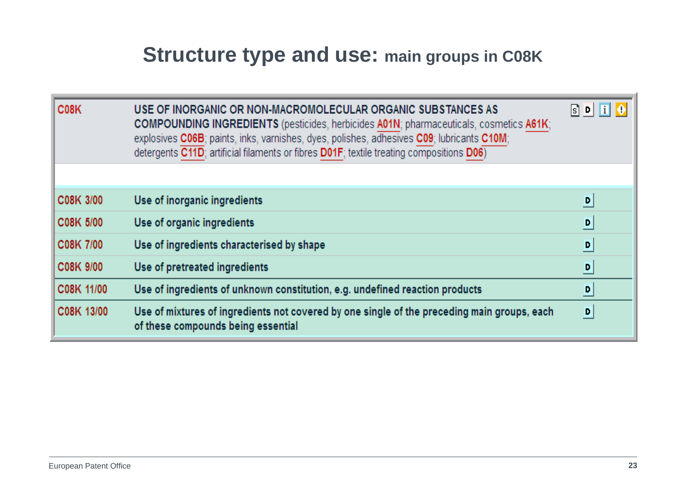### **Structure type and use: main groups in C08K**

| C <sub>0</sub> 8 <sub>K</sub> | USE OF INORGANIC OR NON-MACROMOLECULAR ORGANIC SUBSTANCES AS<br><b>COMPOUNDING INGREDIENTS</b> (pesticides, herbicides A01N; pharmaceuticals, cosmetics A61K;<br>explosives C06B; paints, inks, varnishes, dyes, polishes, adhesives C09; lubricants C10M;<br>detergents C11D; artificial filaments or fibres D01F; textile treating compositions D06) | $s$ D i        |
|-------------------------------|--------------------------------------------------------------------------------------------------------------------------------------------------------------------------------------------------------------------------------------------------------------------------------------------------------------------------------------------------------|----------------|
|                               |                                                                                                                                                                                                                                                                                                                                                        |                |
| C08K 3/00                     | Use of inorganic ingredients                                                                                                                                                                                                                                                                                                                           | D              |
| C08K 5/00                     | Use of organic ingredients                                                                                                                                                                                                                                                                                                                             | $\overline{D}$ |
| C08K 7/00                     | Use of ingredients characterised by shape                                                                                                                                                                                                                                                                                                              | $\overline{D}$ |
| C08K 9/00                     | Use of pretreated ingredients                                                                                                                                                                                                                                                                                                                          | ▫              |
| C08K 11/00                    | Use of ingredients of unknown constitution, e.g. undefined reaction products                                                                                                                                                                                                                                                                           | ▫              |
| C08K 13/00                    | Use of mixtures of ingredients not covered by one single of the preceding main groups, each<br>of these compounds being essential                                                                                                                                                                                                                      | D              |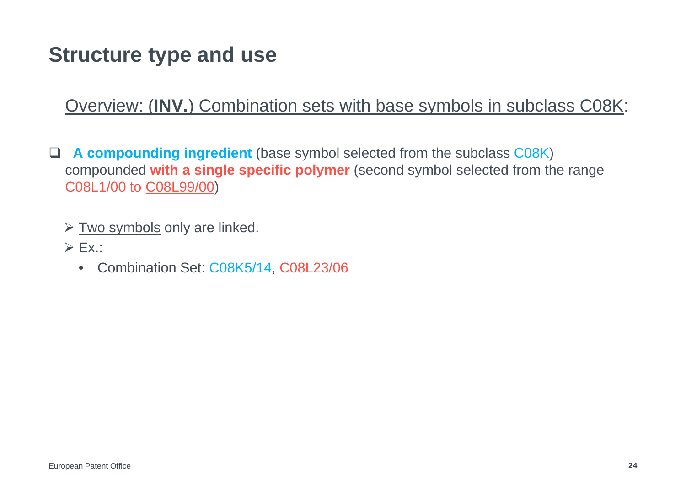#### Overview: (**INV.**) Combination sets with base symbols in subclass C08K:

- $\Box$  **A compounding ingredient** (base symbol selected from the subclass C08K) compounded **with a single specific polymer** (second symbol selected from the range C08L1/00 to C08L99/00)
	- $\triangleright$  Two symbols only are linked.
	- $\triangleright$  Ex.:
		- Combination Set: C08K5/14, C08L23/06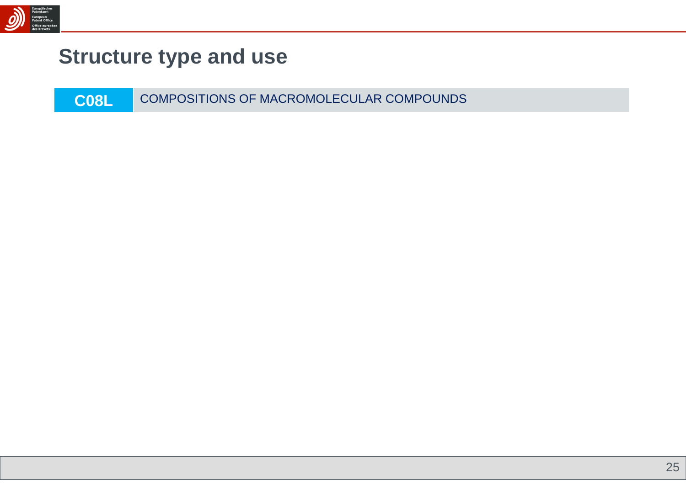

**C08L**COMPOSITIONS OF MACROMOLECULAR COMPOUNDS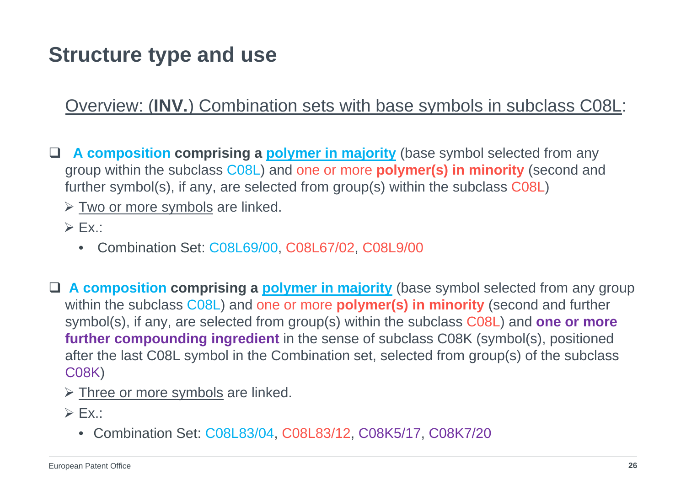Overview: (**INV.**) Combination sets with base symbols in subclass C08L:

 **A composition comprising a polymer in majority** (base symbol selected from any group within the subclass C08L) and one or more **polymer(s) in minority** (second and further symbol(s), if any, are selected from group(s) within the subclass C08L)

> Two or more symbols are linked.

- $\triangleright$  Ex.:
	- Combination Set: C08L69/00, C08L67/02, C08L9/00
- **A composition comprising a polymer in majority** (base symbol selected from any group within the subclass C08L) and one or more **polymer(s) in minority** (second and further symbol(s), if any, are selected from group(s) within the subclass C08L) and **one or more further compounding ingredient** in the sense of subclass C08K (symbol(s), positioned after the last C08L symbol in the Combination set, selected from group(s) of the subclass C08K)
	- > Three or more symbols are linked.
	- $\triangleright$  Ex.:
		- Combination Set: C08L83/04, C08L83/12, C08K5/17, C08K7/20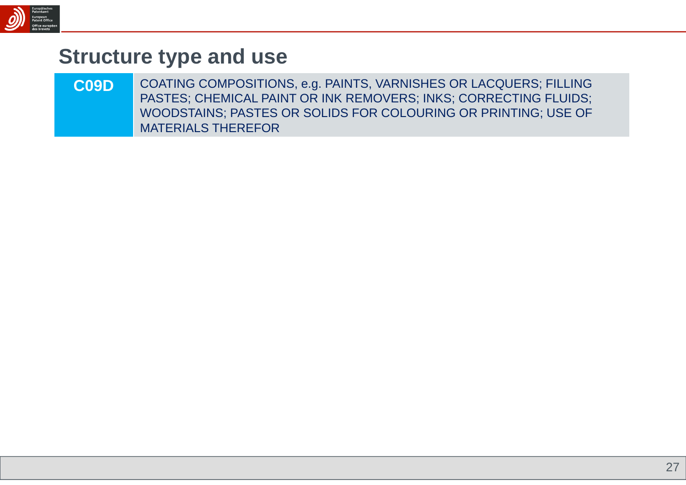

**C09D** COATING COMPOSITIONS, e.g. PAINTS, VARNISHES OR LACQUERS; FILLING PASTES; CHEMICAL PAINT OR INK REMOVERS; INKS; CORRECTING FLUIDS; WOODSTAINS; PASTES OR SOLIDS FOR COLOURING OR PRINTING; USE OF MATERIALS THEREFOR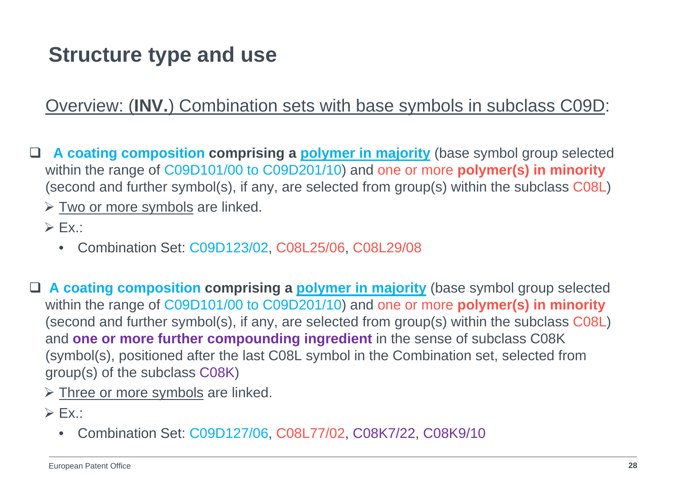#### Overview: (**INV.**) Combination sets with base symbols in subclass C09D:

 $\Box$  **A coating composition comprising a polymer in majority** (base symbol group selected within the range of C09D101/00 to C09D201/10) and one or more **polymer(s) in minority** (second and further symbol(s), if any, are selected from group(s) within the subclass C08L)

> Two or more symbols are linked.

 $\triangleright$  Ex.:

 $\bullet$ Combination Set: C09D123/02, C08L25/06, C08L29/08

 **A coating composition comprising a polymer in majority** (base symbol group selected within the range of C09D101/00 to C09D201/10) and one or more **polymer(s) in minority** (second and further symbol(s), if any, are selected from group(s) within the subclass C08L) and **one or more further compounding ingredient** in the sense of subclass C08K (symbol(s), positioned after the last C08L symbol in the Combination set, selected from group(s) of the subclass C08K)

> Three or more symbols are linked.

 $\triangleright$  Ex.:

• Combination Set: C09D127/06, C08L77/02, C08K7/22, C08K9/10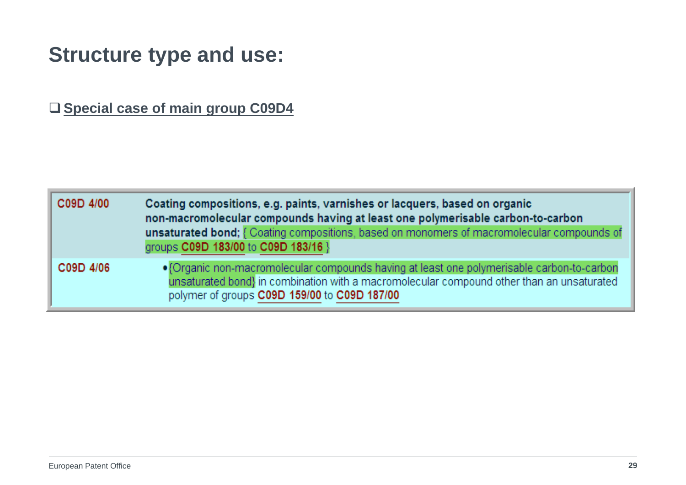**Special case of main group C09D4**

| C09D 4/00 | Coating compositions, e.g. paints, varnishes or lacquers, based on organic<br>non-macromolecular compounds having at least one polymerisable carbon-to-carbon<br>unsaturated bond; { Coating compositions, based on monomers of macromolecular compounds of<br>groups C09D 183/00 to C09D 183/16 } |
|-----------|----------------------------------------------------------------------------------------------------------------------------------------------------------------------------------------------------------------------------------------------------------------------------------------------------|
| C09D 4/06 | • {Organic non-macromolecular compounds having at least one polymerisable carbon-to-carbon<br>unsaturated bond} in combination with a macromolecular compound other than an unsaturated<br>polymer of groups C09D 159/00 to C09D 187/00                                                            |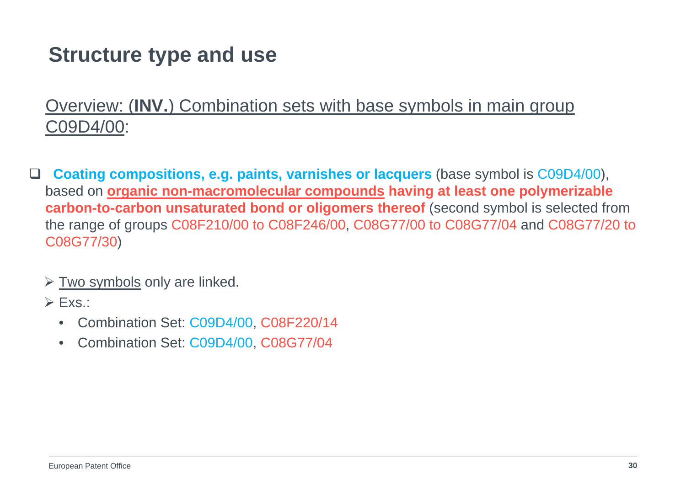#### Overview: (**INV.**) Combination sets with base symbols in main group C09D4/00:

- $\Box$  **Coating compositions, e.g. paints, varnishes or lacquers** (base symbol is C09D4/00), based on **organic non-macromolecular compounds having at least one polymerizable carbon-to-carbon unsaturated bond or oligomers thereof** (second symbol is selected from the range of groups C08F210/00 to C08F246/00, C08G77/00 to C08G77/04 and C08G77/20 to C08G77/30)
	- $\triangleright$  Two symbols only are linked.
	- $\triangleright$  Exs.:
		- •Combination Set: C09D4/00, C08F220/14
		- •Combination Set: C09D4/00, C08G77/04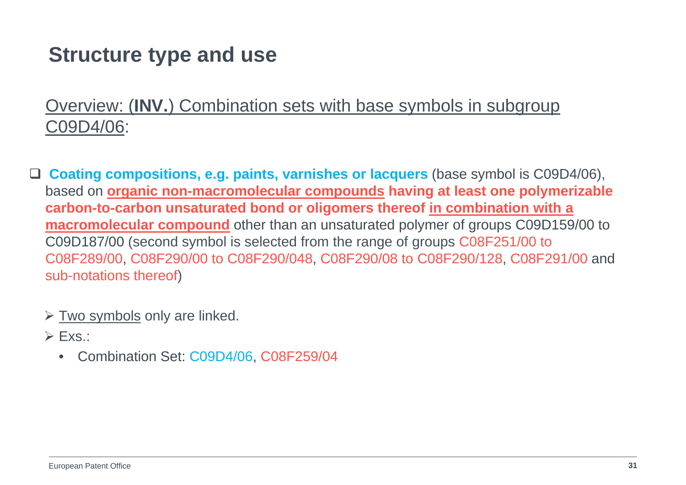#### Overview: (**INV.**) Combination sets with base symbols in subgroup C09D4/06:

- **Coating compositions, e.g. paints, varnishes or lacquers** (base symbol is C09D4/06), based on **organic non-macromolecular compounds having at least one polymerizable carbon-to-carbon unsaturated bond or oligomers thereof in combination with a macromolecular compound** other than an unsaturated polymer of groups C09D159/00 to C09D187/00 (second symbol is selected from the range of groups C08F251/00 to C08F289/00, C08F290/00 to C08F290/048, C08F290/08 to C08F290/128, C08F291/00 and sub-notations thereof)
	- $\triangleright$  Two symbols only are linked.
	- $\triangleright$  Exs.:
		- $\bullet$ Combination Set: C09D4/06, C08F259/04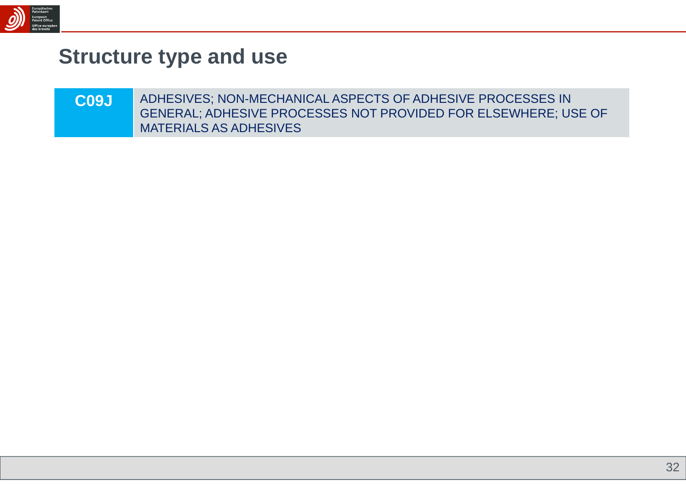

| C <sub>09</sub> J | ADHESIVES; NON-MECHANICAL ASPECTS OF ADHESIVE PROCESSES IN     |
|-------------------|----------------------------------------------------------------|
|                   | GENERAL; ADHESIVE PROCESSES NOT PROVIDED FOR ELSEWHERE; USE OF |
|                   | <b>MATERIALS AS ADHESIVES</b>                                  |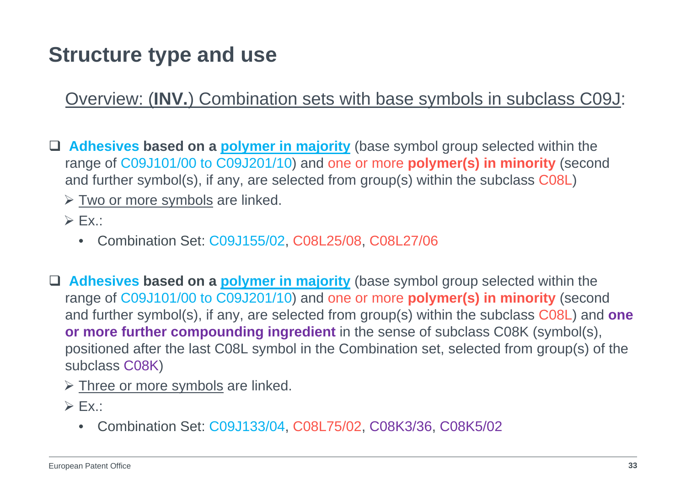Overview: (**INV.**) Combination sets with base symbols in subclass C09J:

 **Adhesives based on a polymer in majority** (base symbol group selected within the range of C09J101/00 to C09J201/10) and one or more **polymer(s) in minority** (second and further symbol(s), if any, are selected from group(s) within the subclass C08L)

> Two or more symbols are linked.

- $\triangleright$  Ex.:
	- Combination Set: C09J155/02, C08L25/08, C08L27/06
- **Adhesives based on a polymer in majority** (base symbol group selected within the range of C09J101/00 to C09J201/10) and one or more **polymer(s) in minority** (second and further symbol(s), if any, are selected from group(s) within the subclass C08L) and **one or more further compounding ingredient** in the sense of subclass C08K (symbol(s), positioned after the last C08L symbol in the Combination set, selected from group(s) of the subclass C08K)
	- > Three or more symbols are linked.
	- $\triangleright$  Ex.:
		- Combination Set: C09J133/04, C08L75/02, C08K3/36, C08K5/02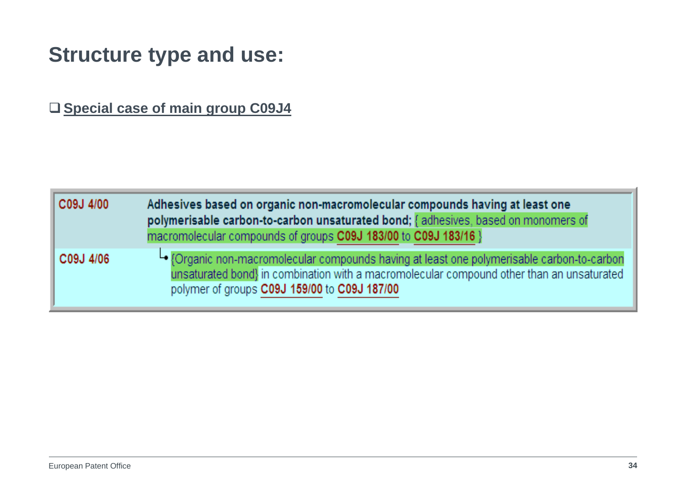**Special case of main group C09J4**

| C09J 4/00 | Adhesives based on organic non-macromolecular compounds having at least one<br>polymerisable carbon-to-carbon unsaturated bond; { adhesives, based on monomers of                                                                        |
|-----------|------------------------------------------------------------------------------------------------------------------------------------------------------------------------------------------------------------------------------------------|
|           | macromolecular compounds of groups C09J 183/00 to C09J 183/16 }                                                                                                                                                                          |
| C09J 4/06 | └● {Organic non-macromolecular compounds having at least one polymerisable carbon-to-carbon<br>unsaturated bond} in combination with a macromolecular compound other than an unsaturated<br>polymer of groups C09J 159/00 to C09J 187/00 |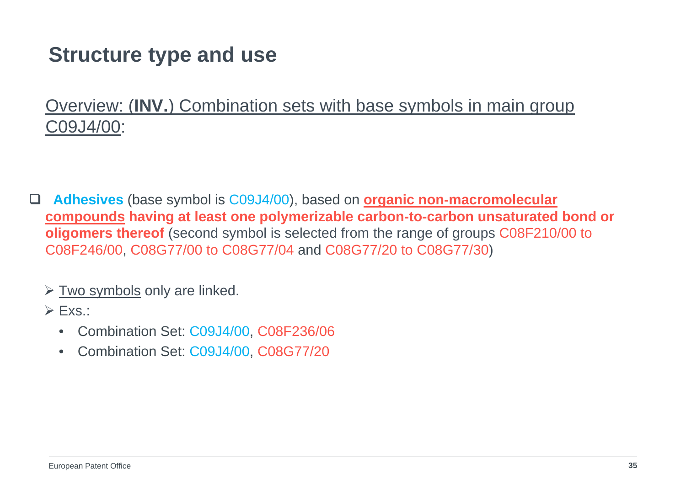Overview: (**INV.**) Combination sets with base symbols in main group C09J4/00:

 $\Box$  **Adhesives** (base symbol is C09J4/00), based on **organic non-macromolecular compounds having at least one polymerizable carbon-to-carbon unsaturated bond or oligomers thereof** (second symbol is selected from the range of groups C08F210/00 to C08F246/00, C08G77/00 to C08G77/04 and C08G77/20 to C08G77/30)

#### $\triangleright$  Two symbols only are linked.

 $\triangleright$  Exs.:

- $\bullet$ Combination Set: C09J4/00, C08F236/06
- •Combination Set: C09J4/00, C08G77/20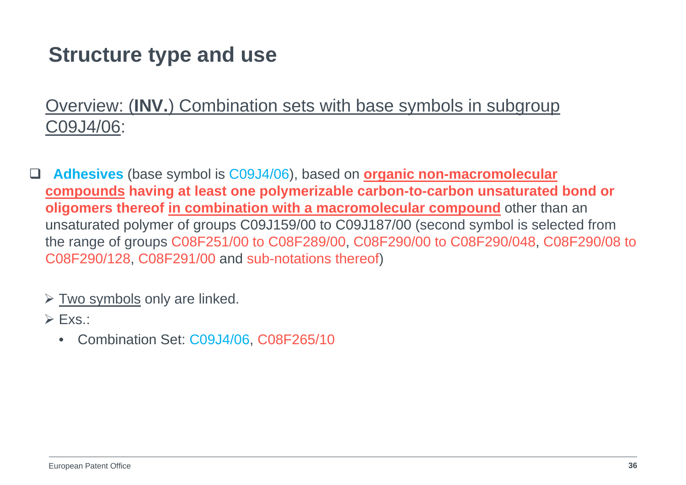#### Overview: (**INV.**) Combination sets with base symbols in subgroup C09J4/06:

- $\Box$  **Adhesives** (base symbol is C09J4/06), based on **organic non-macromolecular compounds having at least one polymerizable carbon-to-carbon unsaturated bond or oligomers thereof in combination with a macromolecular compound** other than an unsaturated polymer of groups C09J159/00 to C09J187/00 (second symbol is selected from the range of groups C08F251/00 to C08F289/00, C08F290/00 to C08F290/048, C08F290/08 to C08F290/128, C08F291/00 and sub-notations thereof)
	- $\triangleright$  Two symbols only are linked.
	- $\triangleright$  Exs.:
		- •Combination Set: C09J4/06, C08F265/10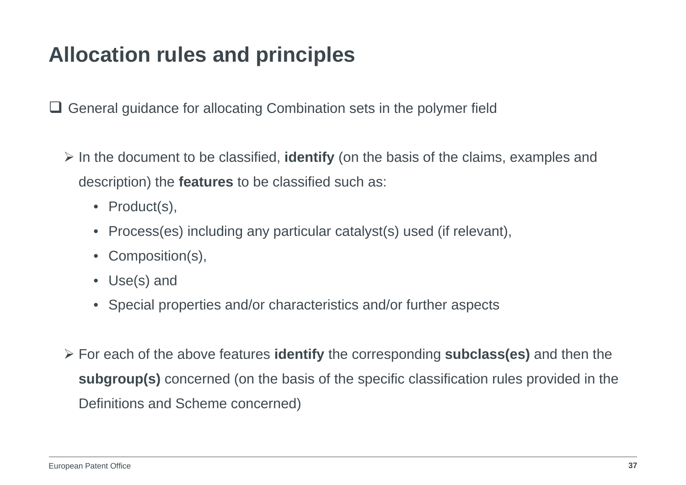# **Allocation rules and principles**

□ General guidance for allocating Combination sets in the polymer field

- In the document to be classified, **identify** (on the basis of the claims, examples and description) the **features** to be classified such as:
	- Product(s),
	- $\bullet$ Process(es) including any particular catalyst(s) used (if relevant),
	- Composition(s),
	- Use(s) and
	- Special properties and/or characteristics and/or further aspects
- For each of the above features **identify** the corresponding **subclass(es)** and then the **subgroup(s)** concerned (on the basis of the specific classification rules provided in the Definitions and Scheme concerned)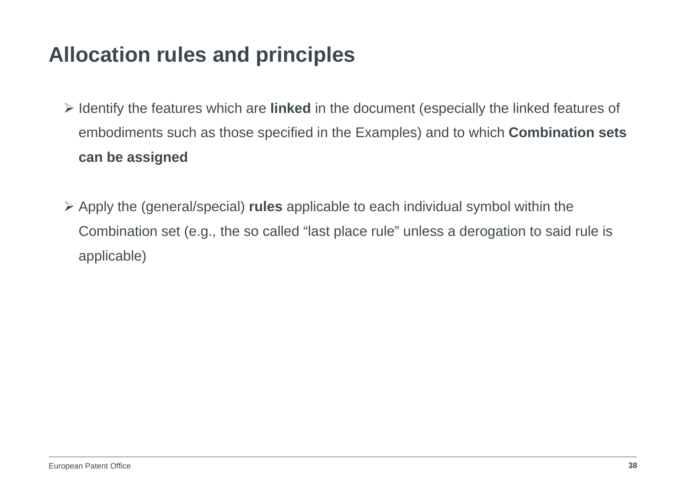### **Allocation rules and principles**

- Identify the features which are **linked** in the document (especially the linked features of embodiments such as those specified in the Examples) and to which **Combination sets can be assigned**
- Apply the (general/special) **rules** applicable to each individual symbol within the Combination set (e.g., the so called "last place rule" unless a derogation to said rule is applicable)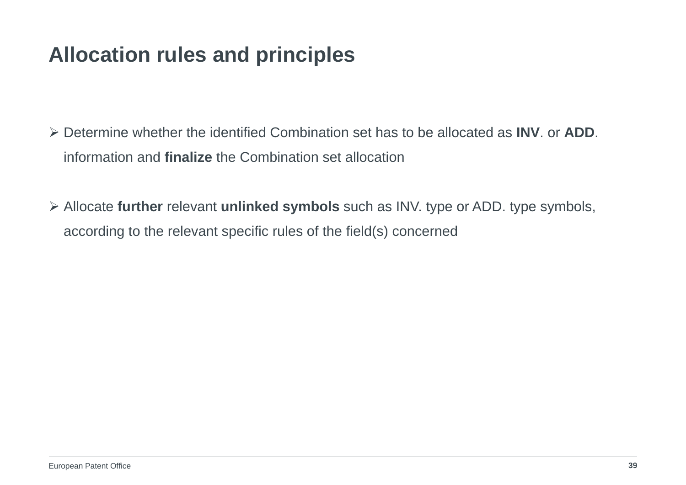# **Allocation rules and principles**

- Determine whether the identified Combination set has to be allocated as **INV**. or **ADD**. information and **finalize** the Combination set allocation
- Allocate **further** relevant **unlinked symbols** such as INV. type or ADD. type symbols, according to the relevant specific rules of the field(s) concerned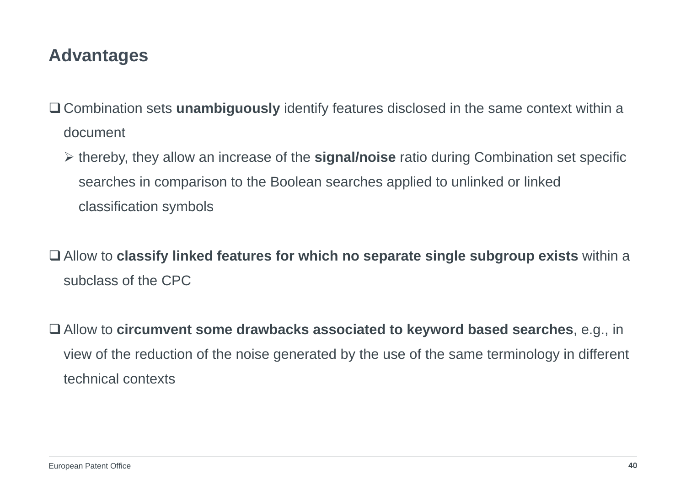#### **Advantages**

- Combination sets **unambiguously** identify features disclosed in the same context within a document
	- thereby, they allow an increase of the **signal/noise** ratio during Combination set specific searches in comparison to the Boolean searches applied to unlinked or linked classification symbols
- Allow to **classify linked features for which no separate single subgroup exists** within a subclass of the CPC
- Allow to **circumvent some drawbacks associated to keyword based searches**, e.g., in view of the reduction of the noise generated by the use of the same terminology in different technical contexts